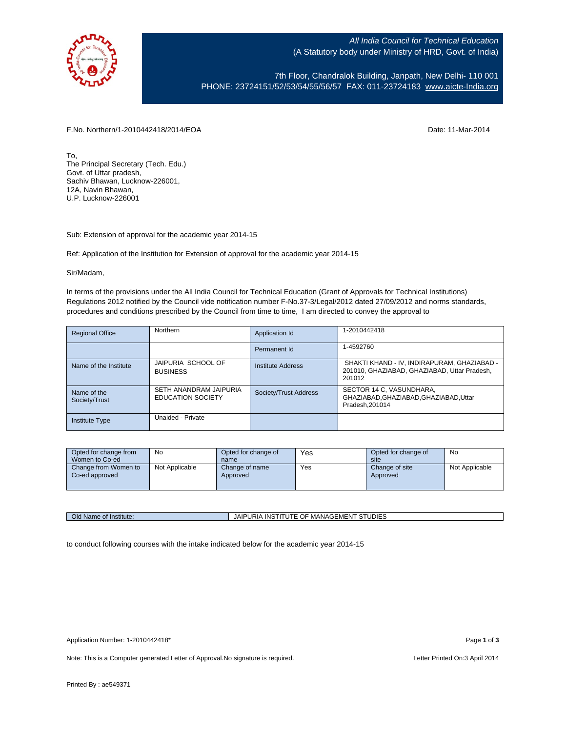

All India Council for Technical Education (A Statutory body under Ministry of HRD, Govt. of India)

7th Floor, Chandralok Building, Janpath, New Delhi- 110 001 PHONE: 23724151/52/53/54/55/56/57 FAX: 011-23724183 [www.aicte-India.org](http://www.aicte-india.org/)

F.No. Northern/1-2010442418/2014/EOA Date: 11-Mar-2014

To, The Principal Secretary (Tech. Edu.) Govt. of Uttar pradesh, Sachiv Bhawan, Lucknow-226001, 12A, Navin Bhawan, U.P. Lucknow-226001

Sub: Extension of approval for the academic year 2014-15

Ref: Application of the Institution for Extension of approval for the academic year 2014-15

## Sir/Madam,

In terms of the provisions under the All India Council for Technical Education (Grant of Approvals for Technical Institutions) Regulations 2012 notified by the Council vide notification number F-No.37-3/Legal/2012 dated 27/09/2012 and norms standards, procedures and conditions prescribed by the Council from time to time, I am directed to convey the approval to

| <b>Regional Office</b>       | Northern                                           | Application Id           | 1-2010442418                                                                                          |
|------------------------------|----------------------------------------------------|--------------------------|-------------------------------------------------------------------------------------------------------|
|                              |                                                    | Permanent Id             | 1-4592760                                                                                             |
| Name of the Institute        | JAIPURIA SCHOOL OF<br><b>BUSINESS</b>              | <b>Institute Address</b> | SHAKTI KHAND - IV, INDIRAPURAM, GHAZIABAD -<br>201010, GHAZIABAD, GHAZIABAD, Uttar Pradesh,<br>201012 |
| Name of the<br>Society/Trust | SETH ANANDRAM JAIPURIA<br><b>EDUCATION SOCIETY</b> | Society/Trust Address    | SECTOR 14 C, VASUNDHARA,<br>GHAZIABAD, GHAZIABAD, GHAZIABAD, Uttar<br>Pradesh.201014                  |
| <b>Institute Type</b>        | Unaided - Private                                  |                          |                                                                                                       |

| Opted for change from                  | No             | Opted for change of        | Yes | Opted for change of        | No             |
|----------------------------------------|----------------|----------------------------|-----|----------------------------|----------------|
| Women to Co-ed                         |                | name                       |     | site                       |                |
| Change from Women to<br>Co-ed approved | Not Applicable | Change of name<br>Approved | Yes | Change of site<br>Approved | Not Applicable |

Old Name of Institute: JAIPURIA INSTITUTE OF MANAGEMENT STUDIES

to conduct following courses with the intake indicated below for the academic year 2014-15

Note: This is a Computer generated Letter of Approval. No signature is required. <br>
Note: This is a Computer generated Letter of Approval. No signature is required.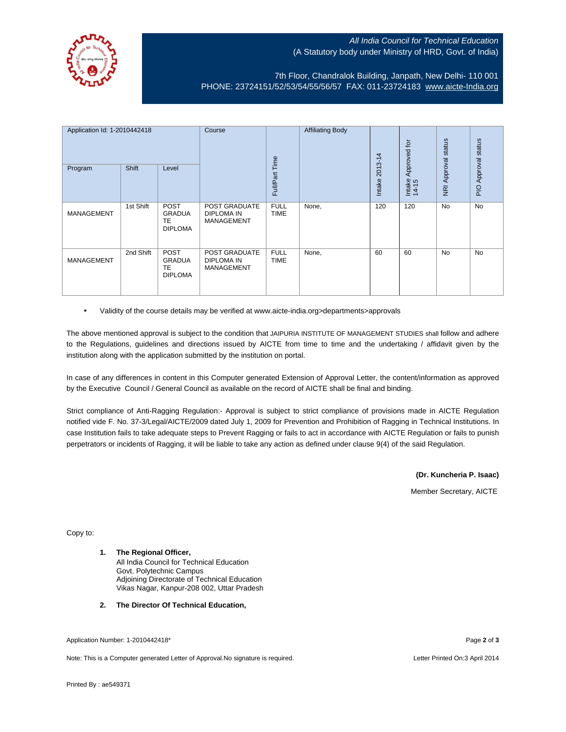

## All India Council for Technical Education (A Statutory body under Ministry of HRD, Govt. of India)

## 7th Floor, Chandralok Building, Janpath, New Delhi- 110 001 PHONE: 23724151/52/53/54/55/56/57 FAX: 011-23724183 [www.aicte-India.org](http://www.aicte-india.org/)

| Application Id: 1-2010442418<br>Program | Shift     | Level                                                       | Course                                                  | Full/Part Time             | <b>Affiliating Body</b> | 4<br>$2013 - 1$<br>Intake | Approved for<br>Intake<br>14-15 | status<br>Approval<br>$\overline{g}$ | status<br>Approval<br>$\frac{1}{2}$ |
|-----------------------------------------|-----------|-------------------------------------------------------------|---------------------------------------------------------|----------------------------|-------------------------|---------------------------|---------------------------------|--------------------------------------|-------------------------------------|
| <b>MANAGEMENT</b>                       | 1st Shift | <b>POST</b><br><b>GRADUA</b><br><b>TE</b><br><b>DIPLOMA</b> | POST GRADUATE<br><b>DIPLOMA IN</b><br><b>MANAGEMENT</b> | <b>FULL</b><br><b>TIME</b> | None,                   | 120                       | 120                             | <b>No</b>                            | <b>No</b>                           |
| <b>MANAGEMENT</b>                       | 2nd Shift | POST<br><b>GRADUA</b><br><b>TE</b><br><b>DIPLOMA</b>        | POST GRADUATE<br><b>DIPLOMA IN</b><br><b>MANAGEMENT</b> | <b>FULL</b><br><b>TIME</b> | None,                   | 60                        | 60                              | <b>No</b>                            | <b>No</b>                           |

• Validity of the course details may be verified at www.aicte-india.org>departments>approvals

The above mentioned approval is subject to the condition that JAIPURIA INSTITUTE OF MANAGEMENT STUDIES shall follow and adhere to the Regulations, guidelines and directions issued by AICTE from time to time and the undertaking / affidavit given by the institution along with the application submitted by the institution on portal.

In case of any differences in content in this Computer generated Extension of Approval Letter, the content/information as approved by the Executive Council / General Council as available on the record of AICTE shall be final and binding.

Strict compliance of Anti-Ragging Regulation:- Approval is subject to strict compliance of provisions made in AICTE Regulation notified vide F. No. 37-3/Legal/AICTE/2009 dated July 1, 2009 for Prevention and Prohibition of Ragging in Technical Institutions. In case Institution fails to take adequate steps to Prevent Ragging or fails to act in accordance with AICTE Regulation or fails to punish perpetrators or incidents of Ragging, it will be liable to take any action as defined under clause 9(4) of the said Regulation.

**(Dr. Kuncheria P. Isaac)**

Member Secretary, AICTE

Copy to:

- **1. The Regional Officer,** All India Council for Technical Education Govt. Polytechnic Campus Adjoining Directorate of Technical Education Vikas Nagar, Kanpur-208 002, Uttar Pradesh
- **2. The Director Of Technical Education,**

Application Number: 1-2010442418\* Page **2** of **3**

Note: This is a Computer generated Letter of Approval.No signature is required. Letter Printed On:3 April 2014